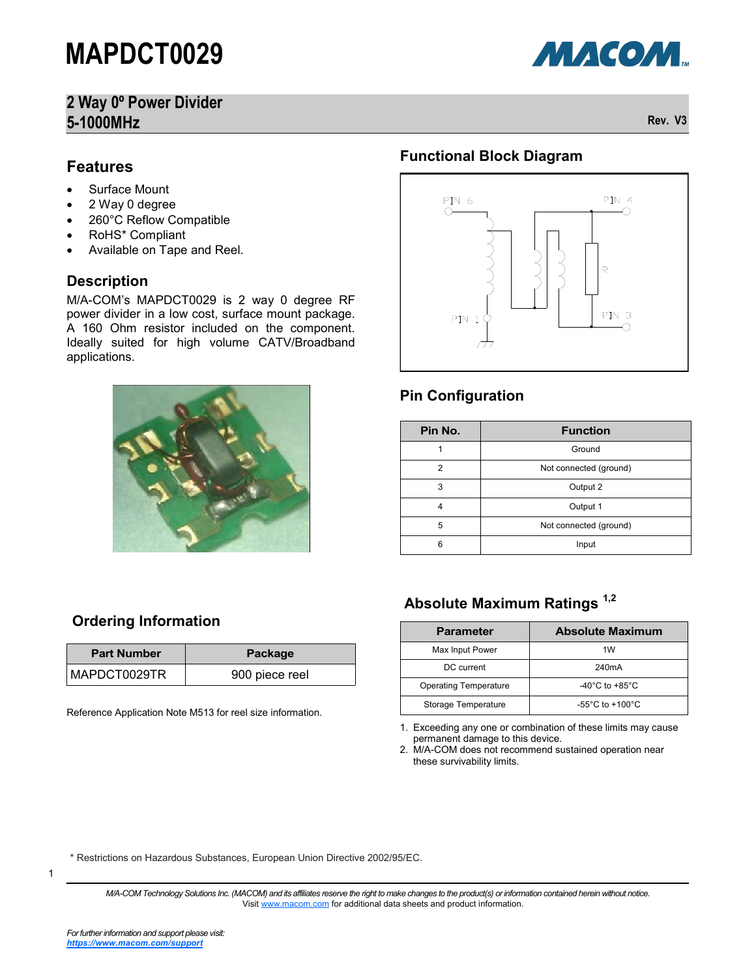### **2 Way 0º Power Divider 5-1000MHz Rev. V3**



#### **Features**

- Surface Mount
- 2 Way 0 degree
- 260°C Reflow Compatible
- RoHS\* Compliant
- Available on Tape and Reel.

#### **Description**

M/A-COM's MAPDCT0029 is 2 way 0 degree RF power divider in a low cost, surface mount package. A 160 Ohm resistor included on the component. Ideally suited for high volume CATV/Broadband applications.



#### **Functional Block Diagram**



#### **Pin Configuration**

| Pin No. | <b>Function</b>        |  |  |  |  |
|---------|------------------------|--|--|--|--|
|         | Ground                 |  |  |  |  |
| 2       | Not connected (ground) |  |  |  |  |
| 3       | Output 2               |  |  |  |  |
| 4       | Output 1               |  |  |  |  |
| 5       | Not connected (ground) |  |  |  |  |
| 6       | Input                  |  |  |  |  |

### **Absolute Maximum Ratings 1,2**

| <b>Parameter</b>             | <b>Absolute Maximum</b>              |  |  |  |
|------------------------------|--------------------------------------|--|--|--|
| Max Input Power              | 1W                                   |  |  |  |
| DC current                   | 240 <sub>m</sub> A                   |  |  |  |
| <b>Operating Temperature</b> | -40 $^{\circ}$ C to +85 $^{\circ}$ C |  |  |  |
| Storage Temperature          | $-55^{\circ}$ C to $+100^{\circ}$ C  |  |  |  |

1. Exceeding any one or combination of these limits may cause permanent damage to this device.

2. M/A-COM does not recommend sustained operation near these survivability limits.

\* Restrictions on Hazardous Substances, European Union Directive 2002/95/EC.

*M/A-COM Technology Solutions Inc. (MACOM) and its affiliates reserve the right to make changes to the product(s) or information contained herein without notice.*  Visit [www.macom.com](http://www.macom.com/) for additional data sheets and product information.

**Ordering Information**

Reference Application Note M513 for reel size information.

**Part Number Package** MAPDCT0029TR | 900 piece reel

1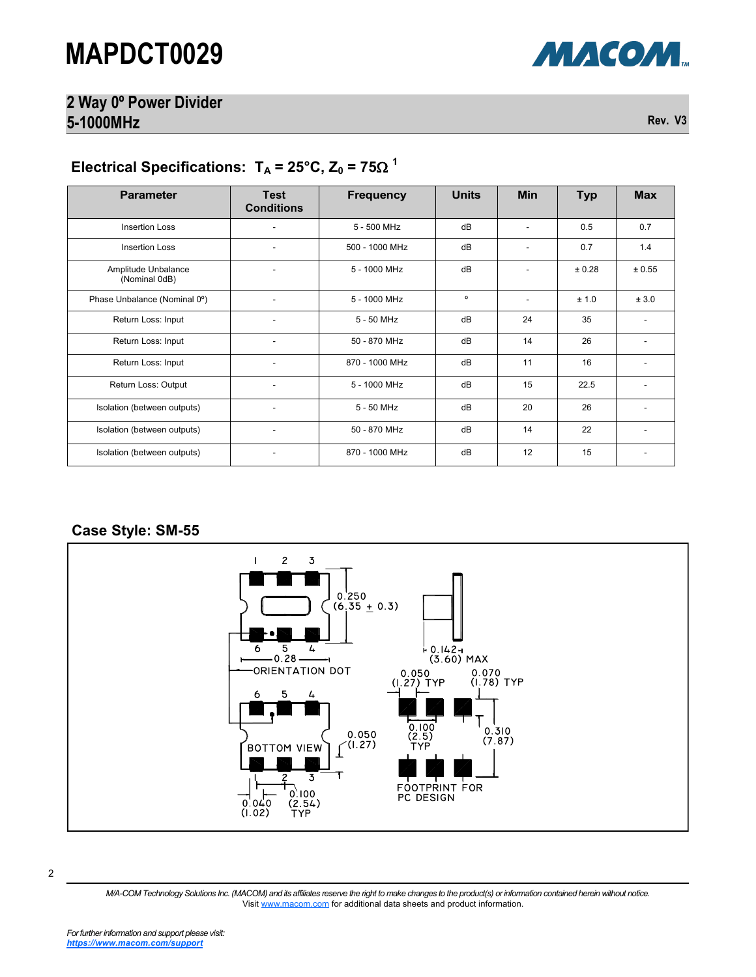### **2 Way 0º Power Divider 5-1000MHz Rev. V3**

#### Electrical Specifications:  $T_A = 25^{\circ}$ C, Z<sub>0</sub> = 75 $\Omega$ <sup>1</sup>

| <b>Parameter</b>                     | <b>Test</b><br><b>Conditions</b> | <b>Frequency</b> | <b>Units</b> | <b>Min</b>               | <b>Typ</b> | <b>Max</b> |
|--------------------------------------|----------------------------------|------------------|--------------|--------------------------|------------|------------|
| <b>Insertion Loss</b>                |                                  | 5 - 500 MHz      | dB           |                          | 0.5        | 0.7        |
| Insertion Loss                       | ٠                                | 500 - 1000 MHz   | dB           | $\overline{\phantom{a}}$ | 0.7        | 1.4        |
| Amplitude Unbalance<br>(Nominal 0dB) |                                  | 5 - 1000 MHz     | dB           | ٠                        | ± 0.28     | ± 0.55     |
| Phase Unbalance (Nominal 0°)         |                                  | 5 - 1000 MHz     | $\circ$      | ٠                        | ± 1.0      | ± 3.0      |
| Return Loss: Input                   | ۰                                | 5 - 50 MHz       | dB           | 24                       | 35         |            |
| Return Loss: Input                   |                                  | 50 - 870 MHz     | dB           | 14                       | 26         |            |
| Return Loss: Input                   |                                  | 870 - 1000 MHz   | dB           | 11                       | 16         |            |
| Return Loss: Output                  |                                  | 5 - 1000 MHz     | dB           | 15                       | 22.5       |            |
| Isolation (between outputs)          |                                  | 5 - 50 MHz       | dB           | 20                       | 26         |            |
| Isolation (between outputs)          | ۰                                | 50 - 870 MHz     | dB           | 14                       | 22         |            |
| Isolation (between outputs)          |                                  | 870 - 1000 MHz   | dB           | 12                       | 15         |            |

#### **Case Style: SM-55**



*M/A-COM Technology Solutions Inc. (MACOM) and its affiliates reserve the right to make changes to the product(s) or information contained herein without notice.*  Visit [www.macom.com](http://www.macom.com/) for additional data sheets and product information.

МАСОМ.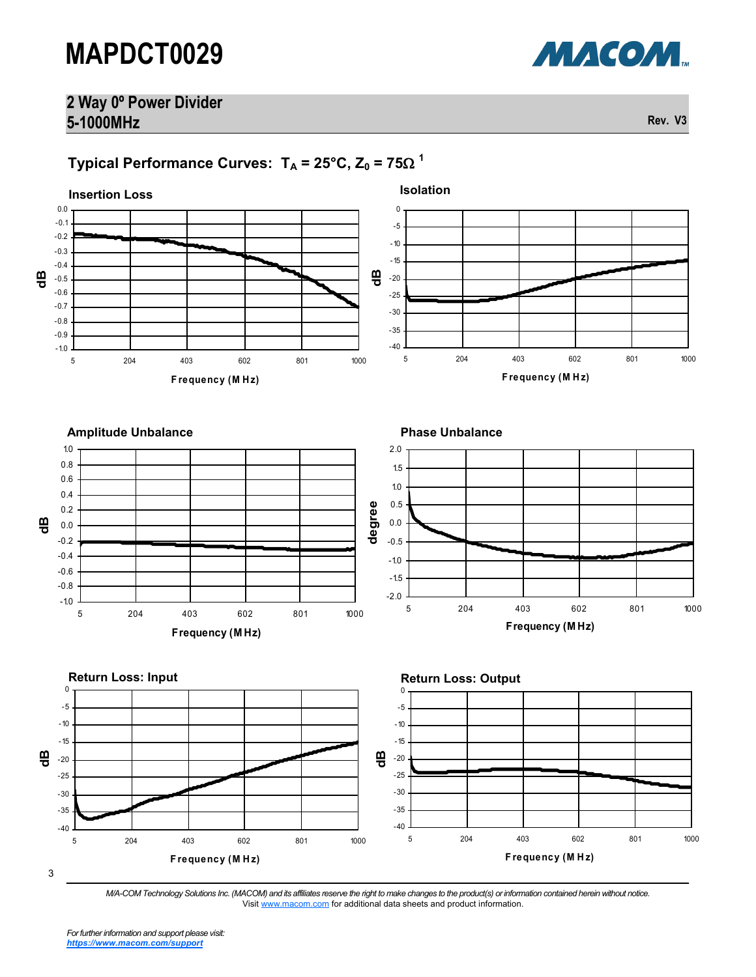### **2 Way 0º Power Divider 5-1000MHz Rev. V3**

## <code>Typical Performance Curves: T $_{\mathsf{A}}$  = 25°C, Z $_{\mathsf{0}}$  = 75 $\Omega$   $^{\mathsf{1}}$ </code>



<sup>3</sup>

*M/A-COM Technology Solutions Inc. (MACOM) and its affiliates reserve the right to make changes to the product(s) or information contained herein without notice.*  Visit [www.macom.com](http://www.macom.com/) for additional data sheets and product information.

МАСОМ.